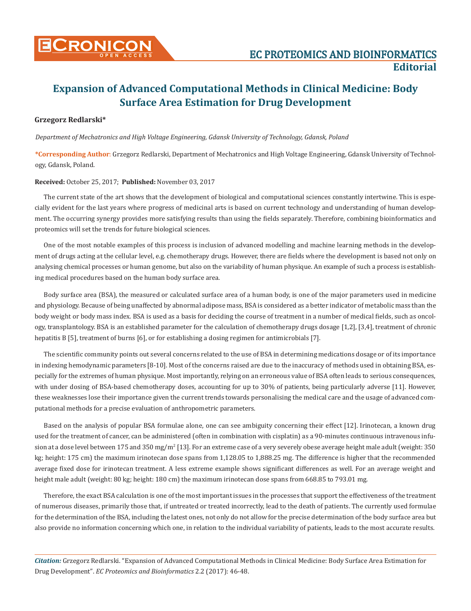

# **Expansion of Advanced Computational Methods in Clinical Medicine: Body Surface Area Estimation for Drug Development**

## **Grzegorz Redlarski\***

*Department of Mechatronics and High Voltage Engineering, Gdansk University of Technology, Gdansk, Poland*

**\*Corresponding Author**: Grzegorz Redlarski, Department of Mechatronics and High Voltage Engineering, Gdansk University of Technology, Gdansk, Poland.

## **Received:** October 25, 2017; **Published:** November 03, 2017

The current state of the art shows that the development of biological and computational sciences constantly intertwine. This is especially evident for the last years where progress of medicinal arts is based on current technology and understanding of human development. The occurring synergy provides more satisfying results than using the fields separately. Therefore, combining bioinformatics and proteomics will set the trends for future biological sciences.

One of the most notable examples of this process is inclusion of advanced modelling and machine learning methods in the development of drugs acting at the cellular level, e.g. chemotherapy drugs. However, there are fields where the development is based not only on analysing chemical processes or human genome, but also on the variability of human physique. An example of such a process is establishing medical procedures based on the human body surface area.

Body surface area (BSA), the measured or calculated surface area of a human body, is one of the major parameters used in medicine and physiology. Because of being unaffected by abnormal adipose mass, BSA is considered as a better indicator of metabolic mass than the body weight or body mass index. BSA is used as a basis for deciding the course of treatment in a number of medical fields, such as oncology, transplantology. BSA is an established parameter for the calculation of chemotherapy drugs dosage [1,2], [3,4], treatment of chronic hepatitis B [5], treatment of burns [6], or for establishing a dosing regimen for antimicrobials [7].

The scientific community points out several concerns related to the use of BSA in determining medications dosage or of its importance in indexing hemodynamic parameters [8-10]. Most of the concerns raised are due to the inaccuracy of methods used in obtaining BSA, especially for the extremes of human physique. Most importantly, relying on an erroneous value of BSA often leads to serious consequences, with under dosing of BSA-based chemotherapy doses, accounting for up to 30% of patients, being particularly adverse [11]. However, these weaknesses lose their importance given the current trends towards personalising the medical care and the usage of advanced computational methods for a precise evaluation of anthropometric parameters.

Based on the analysis of popular BSA formulae alone, one can see ambiguity concerning their effect [12]. Irinotecan, a known drug used for the treatment of cancer, can be administered (often in combination with cisplatin) as a 90-minutes continuous intravenous infusion at a dose level between 175 and 350 mg/m² [13]. For an extreme case of a very severely obese average height male adult (weight: 350  $\,$ kg; height: 175 cm) the maximum irinotecan dose spans from 1,128.05 to 1,888.25 mg. The difference is higher that the recommended average fixed dose for irinotecan treatment. A less extreme example shows significant differences as well. For an average weight and height male adult (weight: 80 kg; height: 180 cm) the maximum irinotecan dose spans from 668.85 to 793.01 mg.

Therefore, the exact BSA calculation is one of the most important issues in the processes that support the effectiveness of the treatment of numerous diseases, primarily those that, if untreated or treated incorrectly, lead to the death of patients. The currently used formulae for the determination of the BSA, including the latest ones, not only do not allow for the precise determination of the body surface area but also provide no information concerning which one, in relation to the individual variability of patients, leads to the most accurate results.

*Citation:* Grzegorz Redlarski. "Expansion of Advanced Computational Methods in Clinical Medicine: Body Surface Area Estimation for Drug Development". *EC Proteomics and Bioinformatics* 2.2 (2017): 46-48.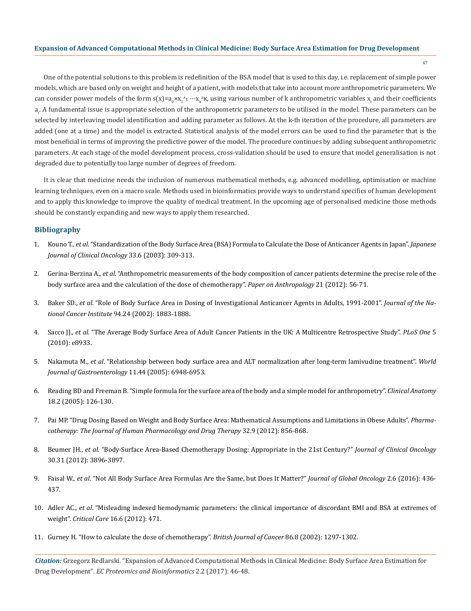#### **Expansion of Advanced Computational Methods in Clinical Medicine: Body Surface Area Estimation for Drug Development**

47

One of the potential solutions to this problem is redefinition of the BSA model that is used to this day, i.e. replacement of simple power models, which are based only on weight and height of a patient, with models that take into account more anthropometric parameters. We can consider power models of the form s(x)=a<sub>0</sub>×x<sub>1</sub>ª1 …x<sub>k</sub>ªK, using various number of k anthropometric variables x<sub>i</sub> and their coefficients a<sub>i</sub>. A fundamental issue is appropriate selection of the anthropometric parameters to be utilised in the model. These parameters can be selected by interleaving model identification and adding parameter as follows. At the k-th iteration of the procedure, all parameters are added (one at a time) and the model is extracted. Statistical analysis of the model errors can be used to find the parameter that is the most beneficial in terms of improving the predictive power of the model. The procedure continues by adding subsequent anthropometric parameters. At each stage of the model development process, cross-validation should be used to ensure that model generalisation is not degraded due to potentially too large number of degrees of freedom.

It is clear that medicine needs the inclusion of numerous mathematical methods, e.g. advanced modelling, optimisation or machine learning techniques, even on a macro scale. Methods used in bioinformatics provide ways to understand specifics of human development and to apply this knowledge to improve the quality of medical treatment. In the upcoming age of personalised medicine those methods should be constantly expanding and new ways to apply them researched.

### **Bibliography**

- 1. Kouno T., *et al*. "Standardization of the Body Surface Area (BSA) Formula to Calculate the Dose of Anticancer Agents in Japan". *Japanese Journal of Clinical Oncology* 33.6 (2003): 309-313.
- 2. Gerina-Berzina A., *et al*. "Anthropometric measurements of the body composition of cancer patients determine the precise role of the body surface area and the calculation of the dose of chemotherapy". *Paper on Anthropology* 21 (2012): 56-71.
- 3. Baker SD., *et al*. "Role of Body Surface Area in Dosing of Investigational Anticancer Agents in Adults, 1991-2001". *Journal of the National Cancer Institute* 94.24 (2002): 1883-1888.
- 4. Sacco JJ., *et al*. "The Average Body Surface Area of Adult Cancer Patients in the UK: A Multicentre Retrospective Study". *PLoS One* 5 (2010): e8933.
- 5. Nakamuta M., *et al*. "Relationship between body surface area and ALT normalization after long-term lamivudine treatment". *World Journal of Gastroenterology* 11.44 (2005): 6948-6953.
- 6. Reading BD and Freeman B. "Simple formula for the surface area of the body and a simple model for anthropometry". *Clinical Anatomy* 18.2 (2005): 126-130.
- 7. Pai MP. "Drug Dosing Based on Weight and Body Surface Area: Mathematical Assumptions and Limitations in Obese Adults". *Pharmacotherapy: The Journal of Human Pharmacology and Drug Therapy* 32.9 (2012): 856-868.
- 8. Beumer JH., *et al*. "Body-Surface Area-Based Chemotherapy Dosing: Appropriate in the 21st Century?" *Journal of Clinical Oncology* 30.31 (2012): 3896-3897.
- 9. Faisal W., *et al*. "Not All Body Surface Area Formulas Are the Same, but Does It Matter?" *Journal of Global Oncology* 2.6 (2016): 436- 437.
- 10. Adler AC., *et al*. "Misleading indexed hemodynamic parameters: the clinical importance of discordant BMI and BSA at extremes of weight". *Critical Care* 16.6 (2012): 471.
- 11. Gurney H. "How to calculate the dose of chemotherapy". *British Journal of Cancer* 86.8 (2002): 1297-1302.

*Citation:* Grzegorz Redlarski. "Expansion of Advanced Computational Methods in Clinical Medicine: Body Surface Area Estimation for Drug Development". *EC Proteomics and Bioinformatics* 2.2 (2017): 46-48.